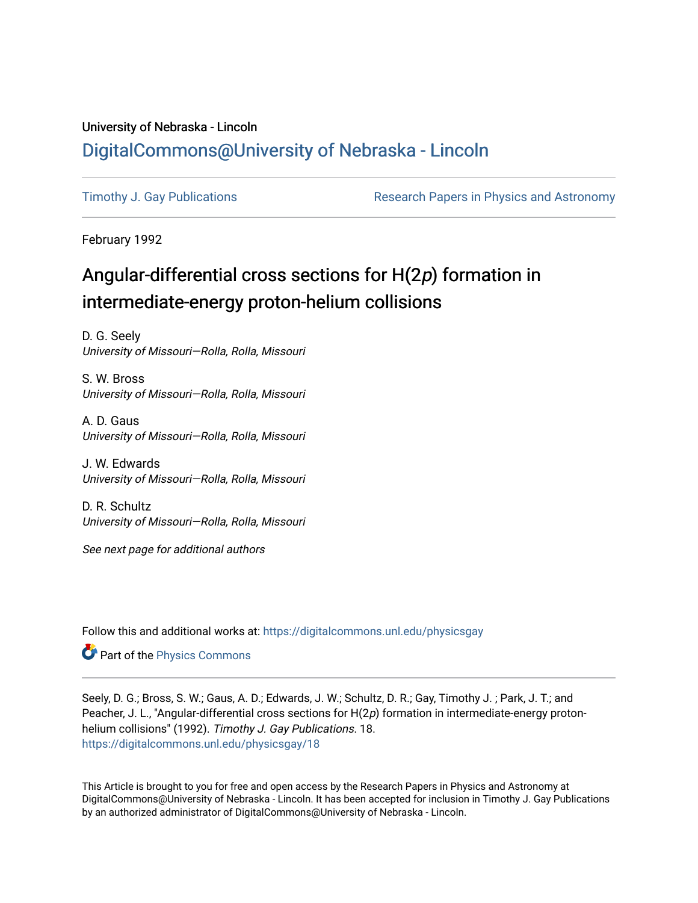## University of Nebraska - Lincoln [DigitalCommons@University of Nebraska - Lincoln](https://digitalcommons.unl.edu/)

[Timothy J. Gay Publications](https://digitalcommons.unl.edu/physicsgay) **Research Papers in Physics and Astronomy** 

February 1992

# Angular-differential cross sections for H(2p) formation in intermediate-energy proton-helium collisions

D. G. Seely University of Missouri—Rolla, Rolla, Missouri

S. W. Bross University of Missouri—Rolla, Rolla, Missouri

A. D. Gaus University of Missouri—Rolla, Rolla, Missouri

J. W. Edwards University of Missouri—Rolla, Rolla, Missouri

D. R. Schultz University of Missouri—Rolla, Rolla, Missouri

See next page for additional authors

Follow this and additional works at: [https://digitalcommons.unl.edu/physicsgay](https://digitalcommons.unl.edu/physicsgay?utm_source=digitalcommons.unl.edu%2Fphysicsgay%2F18&utm_medium=PDF&utm_campaign=PDFCoverPages)

**Part of the [Physics Commons](http://network.bepress.com/hgg/discipline/193?utm_source=digitalcommons.unl.edu%2Fphysicsgay%2F18&utm_medium=PDF&utm_campaign=PDFCoverPages)** 

Seely, D. G.; Bross, S. W.; Gaus, A. D.; Edwards, J. W.; Schultz, D. R.; Gay, Timothy J. ; Park, J. T.; and Peacher, J. L., "Angular-differential cross sections for H(2p) formation in intermediate-energy protonhelium collisions" (1992). Timothy J. Gay Publications. 18. [https://digitalcommons.unl.edu/physicsgay/18](https://digitalcommons.unl.edu/physicsgay/18?utm_source=digitalcommons.unl.edu%2Fphysicsgay%2F18&utm_medium=PDF&utm_campaign=PDFCoverPages) 

This Article is brought to you for free and open access by the Research Papers in Physics and Astronomy at DigitalCommons@University of Nebraska - Lincoln. It has been accepted for inclusion in Timothy J. Gay Publications by an authorized administrator of DigitalCommons@University of Nebraska - Lincoln.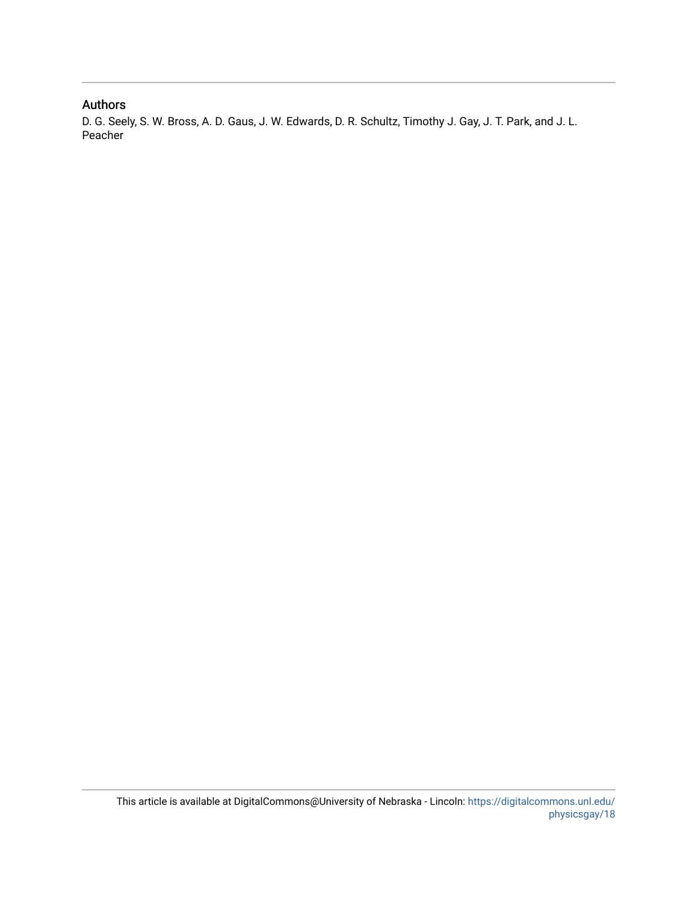### Authors

D. G. Seely, S. W. Bross, A. D. Gaus, J. W. Edwards, D. R. Schultz, Timothy J. Gay, J. T. Park, and J. L. Peacher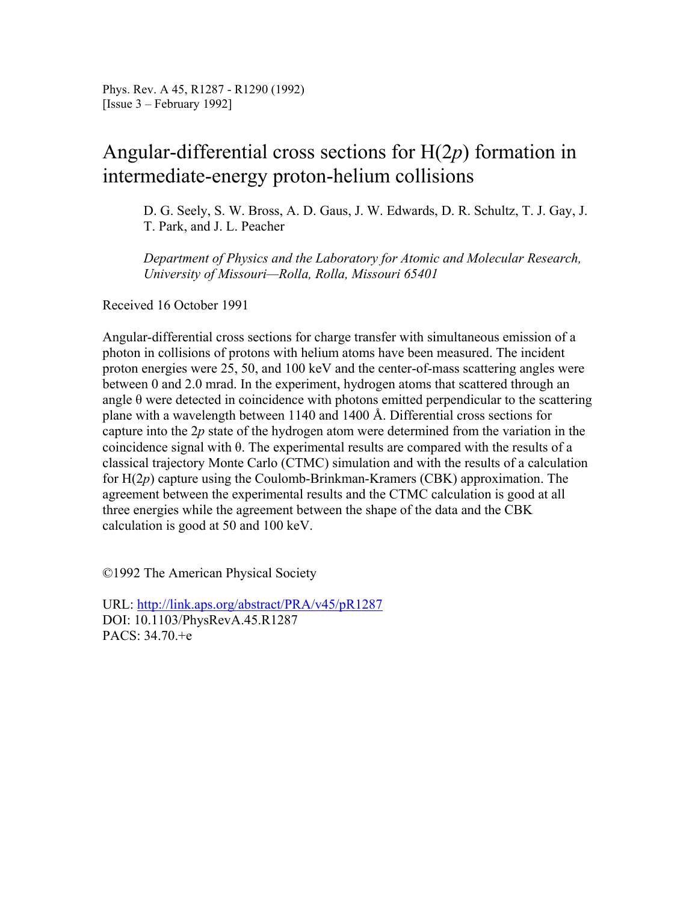## Angular-differential cross sections for H(2*p*) formation in intermediate-energy proton-helium collisions

D. G. Seely, S. W. Bross, A. D. Gaus, J. W. Edwards, D. R. Schultz, T. J. Gay, J. T. Park, and J. L. Peacher

*Department of Physics and the Laboratory for Atomic and Molecular Research, University of Missouri—Rolla, Rolla, Missouri 65401* 

Received 16 October 1991

Angular-differential cross sections for charge transfer with simultaneous emission of a photon in collisions of protons with helium atoms have been measured. The incident proton energies were 25, 50, and 100 keV and the center-of-mass scattering angles were between 0 and 2.0 mrad. In the experiment, hydrogen atoms that scattered through an angle  $\theta$  were detected in coincidence with photons emitted perpendicular to the scattering plane with a wavelength between 1140 and 1400 Å. Differential cross sections for capture into the 2*p* state of the hydrogen atom were determined from the variation in the coincidence signal with θ. The experimental results are compared with the results of a classical trajectory Monte Carlo (CTMC) simulation and with the results of a calculation for H(2*p*) capture using the Coulomb-Brinkman-Kramers (CBK) approximation. The agreement between the experimental results and the CTMC calculation is good at all three energies while the agreement between the shape of the data and the CBK calculation is good at 50 and 100 keV.

©1992 The American Physical Society

URL: http://link.aps.org/abstract/PRA/v45/pR1287 DOI: 10.1103/PhysRevA.45.R1287 PACS: 34.70.+e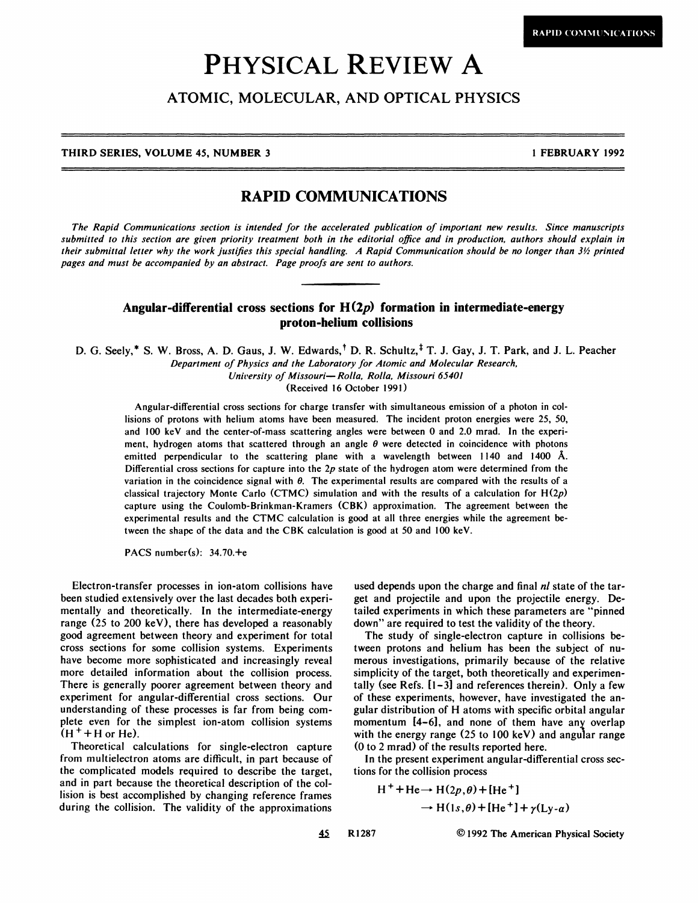# **PHYSICAL** REVIEW **A**

## ATOMIC, MOLECULAR, AND OPTICAL PHYSICS

#### THIRD SERIES, VOLUME 45, NUMBER 3 1 **1 And 1 FEBRUARY 1992 1 FEBRUARY 1992**

### **RAPID COMMUNICATIONS**

**The Rapid Communications section is intended for the accelerated publication of important new results. Since manuscripts**  submitted to this section are given priority treatment both in the editorial office and in production, authors should explain in **their submittal letter why the work justifies this special handling. A Rapid Communication should be no longer than 3% printed pages and must be accompanied by an abstract. Page proofs are sent to authors.** 

#### **Angular-differential cross sections for H(2p) formation in intermediate-energy proton-helium collisions**

D. G. Seely,<sup>\*</sup> S. W. Bross, A. D. Gaus, J. W. Edwards,<sup>†</sup> D. R. Schultz,<sup>†</sup> T. J. Gay, J. T. Park, and J. L. Peacher **Department of Physics and the Laboratory for Atomic and Molecular Research,**  University of Missouri-Rolla, Rolla, Missouri 65401

(Received 16 October 1991)

Angular-differential cross sections for charge transfer with simultaneous emission of a photon in collisions of protons with helium atoms have been measured. The incident proton energies were **25,** 50, and 100 keV and the center-of-mass scattering angles were between 0 and 2.0 mrad. In the experiment, hydrogen atoms that scattered through an angle  $\theta$  were detected in coincidence with photons emitted perpendicular to the scattering plane with a wavelength between 1140 and 1400 **A.**  Differential cross sections for capture into the **2p** state of the hydrogen atom were determined from the variation in the coincidence signal with  $\theta$ . The experimental results are compared with the results of a classical trajectory Monte Carlo (CTMC) simulation and with the results of a calculation for  $H(2p)$ capture using the Coulomb-Brinkman-Kramers (CBK) approximation. The agreement between the experimental results and the CTMC calculation is good at all three energies while the agreement between the shape of the data and the CBK calculation is good at 50 and 100 keV.

PACS number(s):  $34.70.+$ 

Electron-transfer processes in ion-atom collisions have been studied extensively over the last decades both experimentally and theoretically. In the intermediate-energy range (25 to 200 keV), there has developed a reasonably good agreement between theory and experiment for total cross sections for some collision systems. Experiments have become more sophisticated and increasingly reveal more detailed information about the collision process. There is generally poorer agreement between theory and experiment for angular-differential cross sections. Our understanding of these processes is far from being complete even for the simplest ion-atom collision systems  $(H^+ + H^0)$ 

Theoretical calculations for single-electron capture from multielectron atoms are difficult, in part because of the complicated models required to describe the target, and in part because the theoretical description of the collision is best accomplished by changing reference frames during the collision. The validity of the approximations

used depends upon the charge and final *nl* state of the target and projectile and upon the projectile energy. Detailed experiments in which these parameters are "pinned down" are required to test the validity of the theory.

The study of single-electron capture in collisions between protons and helium has been the subject of numerous investigations, primarily because of the relative simplicity of the target, both theoretically and experimentally (see Refs. [I-31 and references therein). Only a few of these experiments, however, have investigated the angular distribution of H atoms with specific orbital angular momentum  $[4-6]$ , and none of them have any overlap momentum  $t_4 = 0$ ; and none of them have any overlap<br>with the energy range  $(25 \text{ to } 100 \text{ keV})$  and angular range **(0** to 2 mrad) of the results reported here.

In the present experiment angular-differential cross sections for the collision process

H<sup>+</sup>+He→ H(2p, θ)+[He<sup>+</sup>]  
\n→ H(1s, θ)+[He<sup>+</sup>]+
$$
\gamma
$$
(Ly- $\alpha$ )

**45 R1287** 0 **1992** The American Physical Society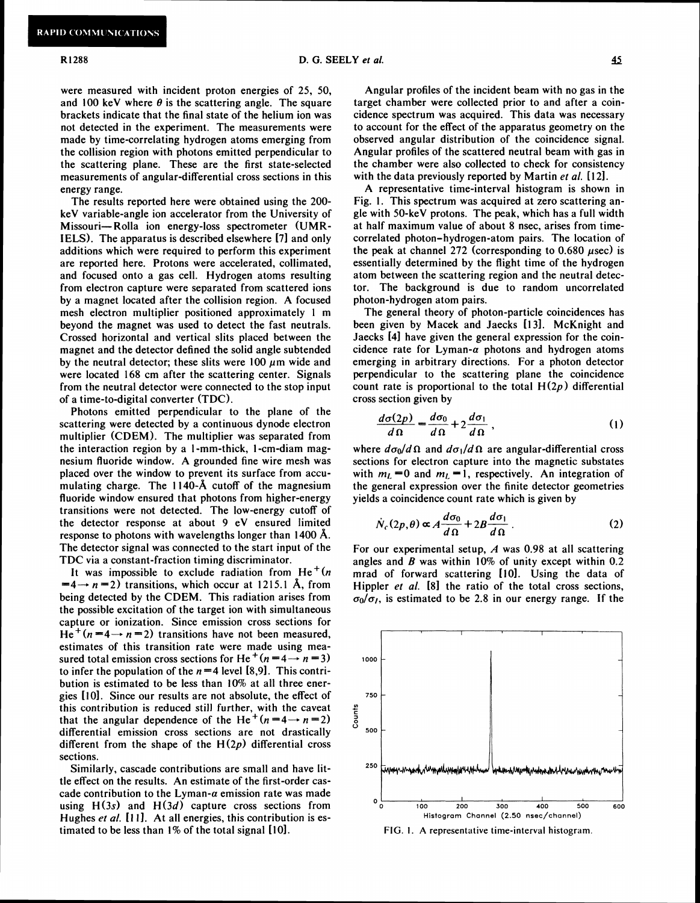#### R1288

*Also <b>45 Also <b>45 Also <b>45 Also <b>45* 

were measured with incident proton energies of 25, 50, and 100 keV where  $\theta$  is the scattering angle. The square brackets indicate that the final state of the helium ion was not detected in the experiment. The measurements were made by time-correlating hydrogen atoms emerging from the collision region with photons emitted perpendicular to the scattering plane. These are the first state-selected measurements of angular-differential cross sections in this energy range.

The results reported here were obtained using the 200 keV variable-angle ion accelerator from the University of Missouri-Rolla ion energy-loss spectrometer (UMR-IELS). The apparatus is described elsewhere [7] and only additions which were required to perform this experiment are reported here. Protons were accelerated, collimated, and focused onto a gas cell. Hydrogen atoms resulting from electron capture were separated from scattered ions by a magnet located after the collision region. A focused mesh electron multiplier positioned approximately 1 m beyond the magnet was used to detect the fast neutrals. Crossed horizontal and vertical slits placed between the magnet and the detector defined the solid angle subtended by the neutral detector; these slits were  $100 \mu m$  wide and were located 168 cm after the scattering center. Signals from the neutral detector were connected to the stop input of a time-to-digital converter (TDC).

Photons emitted perpendicular to the plane of the scattering were detected by a continuous dynode electron multiplier (CDEM). The multiplier was separated from the interaction region by a I -mm-thick, I -cm-diam magnesium fluoride window. A grounded fine wire mesh was placed over the window to prevent its surface from accumulating charge. The 1140-A cutoff of the magnesium fluoride window ensured that photons from higher-energy transitions were not detected. The low-energy cutoff of the detector response at about 9 eV ensured limited response to photons with wavelengths longer than 1400 **A.**  The detector signal was connected to the start input of the TDC via a constant-fraction timing discriminator.

It was impossible to exclude radiation from  $He<sup>+</sup>(n)$  $=4 \rightarrow n=2$ ) transitions, which occur at 1215.1 Å, from being detected by the CDEM. This radiation arises from the possible excitation of the target ion with simultaneous capture or ionization. Since emission cross sections for  $He^+(n=4 \rightarrow n=2)$  transitions have not been measured, estimates of this transition rate were made using measured total emission cross sections for He<sup>+</sup>(n=4 $\rightarrow$  n=3) to infer the population of the  $n=4$  level [8,9]. This contribution is estimated to be less than 10% at all three energies [lo]. Since our results are not absolute, the effect of this contribution is reduced still further, with the caveat that the angular dependence of the He<sup>+</sup>(n=4 $\rightarrow$  n=2) differential emission cross sections are not drastically different from the shape of the  $H(2p)$  differential cross sections.

Similarly, cascade contributions are small and have little effect on the results. An estimate of the first-order cascade contribution to the Lyman- $\alpha$  emission rate was made using  $H(3s)$  and  $H(3d)$  capture cross sections from Hughes et al. [11]. At all energies, this contribution is estimated to be less than  $1\%$  of the total signal  $[10]$ .

cidence spectrum was acquired. This data was necessary to account for the effect of the apparatus geometry on the observed angular distribution of the coincidence signal. Angular profiles of the scattered neutral beam with gas in the chamber were also collected to check for consistency with the data previously reported by Martin et *al.* [121.

A representative time-interval histogram is shown in Fig. 1. This spectrum was acquired at zero scattering angle with 50-keV protons. The peak, which has a full width at half maximum value of about 8 nsec, arises from timecorrelated photon-hydrogen-atom pairs. The location of the peak at channel 272 (corresponding to  $0.680 \mu$ sec) is essentially determined by the flight time of the hydrogen atom between the scattering region and the neutral detector. The background is due to random uncorrelated photon-hydrogen atom pairs.

The general theory of photon-particle coincidences has been given by Macek and Jaecks [131. McKnight and Jaecks [41 have given the general expression for the coincidence rate for Lyman- $\alpha$  photons and hydrogen atoms emerging in arbitrary directions. For a photon detector perpendicular to the scattering plane the coincidence count rate is proportional to the total  $H(2p)$  differential cross section given by

$$
\frac{d\sigma(2p)}{d\Omega} = \frac{d\sigma_0}{d\Omega} + 2\frac{d\sigma_1}{d\Omega},\qquad(1)
$$

where  $d\sigma_0/d\Omega$  and  $d\sigma_1/d\Omega$  are angular-differential cross sections for electron capture into the magnetic substates with  $m<sub>L</sub> = 0$  and  $m<sub>L</sub> = 1$ , respectively. An integration of the general expression over the finite detector geometries yields a coincidence count rate which is given by

$$
\dot{N}_c(2p,\theta) \propto A \frac{d\sigma_0}{d\Omega} + 2B \frac{d\sigma_1}{d\Omega} \,. \tag{2}
$$

For our experimental setup,  $A$  was 0.98 at all scattering angles and  $B$  was within 10% of unity except within 0.2 mrad of forward scattering [10]. Using the data of Hippler *et al.* [8] the ratio of the total cross sections,  $\sigma_0/\sigma_1$ , is estimated to be 2.8 in our energy range. If the



**FIG. I. A representative time-interval histogram.**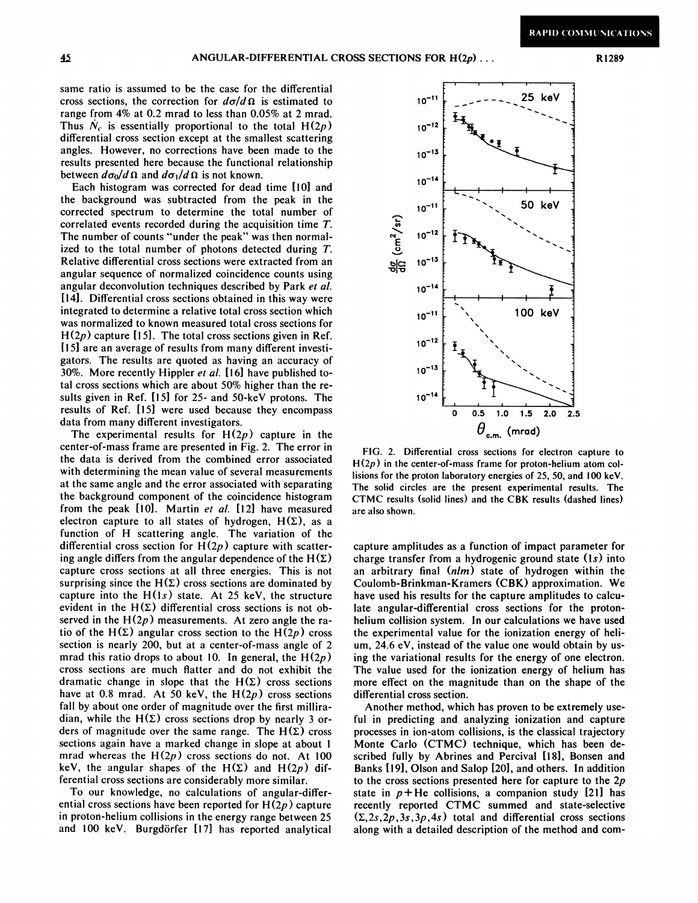same ratio is assumed to be the case for the differential cross sections, the correction for  $d\sigma/d\Omega$  is estimated to range from 4% at 0.2 mrad to less than 0.05% at 2 mrad. Thus  $N_c$  is essentially proportional to the total  $H(2p)$ differential cross section except at the smallest scattering angles. However, no corrections have been made to the results presented here because the functional relationship between  $d\sigma_0/d\Omega$  and  $d\sigma_1/d\Omega$  is not known.

Each histogram was corrected for dead time [I01 and the background was subtracted from the peak in the corrected spectrum to determine the total number of correlated events recorded during the acquisition time T. The number of counts "under the peak" was then normalized to the total number of photons detected during T. Relative differential cross sections were extracted from an angular sequence of normalized coincidence counts using angular deconvolution techniques described by Park *et al.*  1141. Differential cross sections obtained in this way were integrated to determine a relative total cross section which was normalized to known measured total cross sections for  $H(2p)$  capture [15]. The total cross sections given in Ref. [15] are an average of results from many different investigators. The results are quoted as having an accuracy of 30%. More recently Hippler *et al.* [I61 have published total cross sections which are about 50% higher than the results given in Ref. 1151 for 25- and 50-keV protons. The results of Ref. [I51 were used because they encompass data from many different investigators.

The experimental results for  $H(2p)$  capture in the center-of-mass frame are presented in Fig. 2. The error in the data is derived from the combined error associated with determining the mean value of several measurements at the same angle and the error associated with separating the background component of the coincidence histogram from the peak [10]. Martin *et al.* [12] have measured electron capture to all states of hydrogen,  $H(\Sigma)$ , as a function of H scattering angle. The variation of the differential cross section for  $H(2p)$  capture with scattering angle differs from the angular dependence of the  $H(\Sigma)$ capture cross sections at all three energies. This is not surprising since the  $H(\Sigma)$  cross sections are dominated by capture into the  $H(1s)$  state. At 25 keV, the structure evident in the  $H(\Sigma)$  differential cross sections is not observed in the  $H(2p)$  measurements. At zero angle the ratio of the H( $\Sigma$ ) angular cross section to the H( $2p$ ) cross section is nearly 200, but at a center-of-mass angle of 2 mrad this ratio drops to about 10. In general, the  $H(2p)$ cross sections are much flatter and do not exhibit the dramatic change in slope that the  $H(\Sigma)$  cross sections have at 0.8 mrad. At 50 keV, the  $H(2p)$  cross sections fall by about one order of magnitude over the first milliradian, while the  $H(\Sigma)$  cross sections drop by nearly 3 orders of magnitude over the same range. The  $H(\Sigma)$  cross sections again have a marked change in slope at about 1 mrad whereas the  $H(2p)$  cross sections do not. At 100 keV, the angular shapes of the  $H(\Sigma)$  and  $H(2p)$  differential cross sections are considerably more similar.

To our knowledge, no calculations of angular-differential cross sections have been reported for  $H(2p)$  capture in proton-helium collisions in the energy range between 25 and 100 keV. Burgdörfer [17] has reported analytical



FIG. 2. Differential cross sections for electron capture to  $H(2p)$  in the center-of-mass frame for proton-helium atom collisions for the proton laboratory energies of 25, 50, and I00 keV. The solid circles are the present experimental results. The CTMC results (solid lines) and the CBK results (dashed lines) are also shown.

capture amplitudes as a function of impact parameter for charge transfer from a hydrogenic ground state (Is) into an arbitrary final *(dm)* state of hydrogen within the Coulomb-Brinkman-Kramers (CBK) approximation. We have used his results for the capture amplitudes to calculate angular-differential cross sections for the protonhelium collision system. In our calculations we have used the experimental value for the ionization energy of helium, 24.6 eV, instead of the value one would obtain by using the variational results for the energy of one electron. The value used for the ionization energy of helium has more effect on the magnitude than on the shape of the differential cross section.

Another method, which has proven to be extremely useful in predicting and analyzing ionization and capture processes in ion-atom collisions, is the classical trajectory Monte Carlo (CTMC) technique, which has been described fully by Abrines and Percival [181, Bonsen and Banks [191, Olson and Salop **(201,** and others. In addition to the cross sections presented here for capture to the  $2p$ state in  $p+He$  collisions, a companion study [21] has recently reported CTMC summed and state-selective  $(\Sigma, 2s, 2p, 3s, 3p, 4s)$  total and differential cross sections along with a detailed description of the method and com-